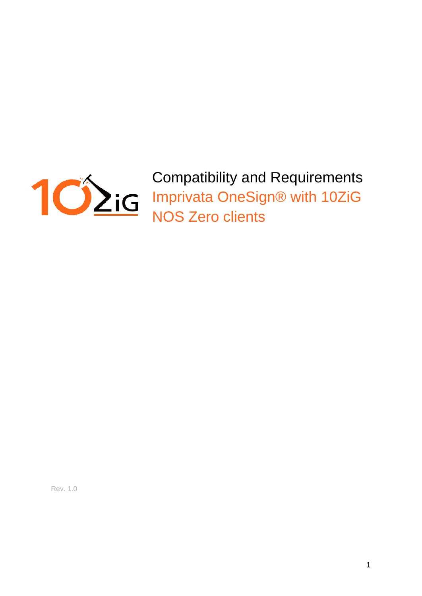

Compatibility and Requirements Imprivata OneSign® with 10ZiG NOS Zero clients

Rev. 1.0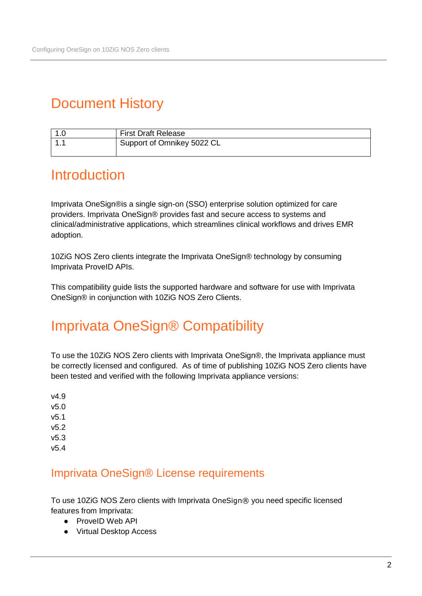# Document History

| ט. ו | <b>First Draft Release</b> |
|------|----------------------------|
|      | Support of Omnikey 5022 CL |

## **Introduction**

Imprivata OneSign®is a single sign-on (SSO) enterprise solution optimized for care providers. Imprivata OneSign® provides fast and secure access to systems and clinical/administrative applications, which streamlines clinical workflows and drives EMR adoption.

10ZiG NOS Zero clients integrate the Imprivata OneSign® technology by consuming Imprivata ProveID APIs.

This compatibility guide lists the supported hardware and software for use with Imprivata OneSign® in conjunction with 10ZiG NOS Zero Clients.

## Imprivata OneSign® Compatibility

To use the 10ZiG NOS Zero clients with Imprivata OneSign®, the Imprivata appliance must be correctly licensed and configured. As of time of publishing 10ZiG NOS Zero clients have been tested and verified with the following Imprivata appliance versions:

v4.9 v5.0 v5.1 v5.2 v5.3 v5.4

#### Imprivata OneSign® License requirements

To use 10ZiG NOS Zero clients with Imprivata OneSign® you need specific licensed features from Imprivata:

- ProveID Web API
- Virtual Desktop Access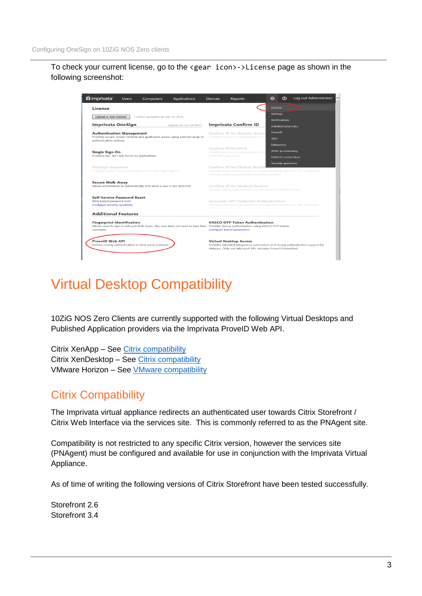To check your current license, go to the <gear icon>->License page as shown in the following screenshot:

| <b>L</b> imprivata <sup>®</sup><br>Computers<br><b>Applications</b><br><b>Users</b>                                                                                                           | <b>Devices</b> | <b>Reports</b>                                                                                                                                                                                                             | o          | ൫                          | Log out Administrator                                                           |
|-----------------------------------------------------------------------------------------------------------------------------------------------------------------------------------------------|----------------|----------------------------------------------------------------------------------------------------------------------------------------------------------------------------------------------------------------------------|------------|----------------------------|---------------------------------------------------------------------------------|
| License                                                                                                                                                                                       |                |                                                                                                                                                                                                                            | License    |                            |                                                                                 |
| Upload a new license<br>License uploaded on Sep-16-2016                                                                                                                                       |                |                                                                                                                                                                                                                            | Settings   | <b>Notifications</b>       |                                                                                 |
| Imprivata OneSign<br>Expires on Jun-24-2017                                                                                                                                                   |                | <b>Imprivata Confirm ID</b>                                                                                                                                                                                                |            | <b>Administrator roles</b> |                                                                                 |
| <b>Authentication Management</b>                                                                                                                                                              |                | <b>Confirm ID for Remote Access</b>                                                                                                                                                                                        |            |                            |                                                                                 |
| Provides secure, simple network and application access using a broad range of<br>authentication options.                                                                                      |                | Provides two-factor authentication for n                                                                                                                                                                                   |            |                            |                                                                                 |
|                                                                                                                                                                                               |                | Confirm ID for EPCS                                                                                                                                                                                                        | Extensions |                            |                                                                                 |
| Single Sign-On<br>Provides fast. No Click Access to applications.                                                                                                                             |                | Provides two-factor authentication for s<br>controlled substances.                                                                                                                                                         |            | SPML provisioning          |                                                                                 |
|                                                                                                                                                                                               |                |                                                                                                                                                                                                                            |            | <b>RADIUS</b> connections  |                                                                                 |
| OneSign Anywhere<br>Provides secure remote application access and single sign-on.                                                                                                             |                | <b>Security questions</b><br>Confirm ID for Clinical Workfl<br>Provides strong authentication for clinical workflows such as CPOE, medication<br>ordering, witnessing medication wasting and more.                         |            |                            |                                                                                 |
| <b>Secure Walk-Away</b><br>Allows workstations to automatically lock when a user is not detected.                                                                                             |                | Confirm ID for Medical Devices<br>Provides strong authentication for user access to medical devices.                                                                                                                       |            |                            |                                                                                 |
| <b>Self-Service Password Reset</b><br>Web-based password reset.<br><b>Configure security questions</b>                                                                                        |                | Symantec VIP Credential Authentication<br>Imprivata and Symantec partner to provide cloud-based hard- and soft-token<br>and the countries of a continue of the company of a continue of the control of the set of an anti- |            |                            |                                                                                 |
| <b>Additional Features</b>                                                                                                                                                                    |                |                                                                                                                                                                                                                            |            |                            |                                                                                 |
| <b>Fingerprint Identification</b><br>Allows users to sign in with just their finger. The user does not need to type their Provides strong authentication using VASCO OTP tokens.<br>username. |                | <b>VASCO OTP Token Authentication</b><br><b>Configure kernel parameters</b>                                                                                                                                                |            |                            |                                                                                 |
| <b>ProvelD Web API</b><br>Delivers strong authentication to third-party products.                                                                                                             |                | <b>Virtual Desktop Access</b><br>VMware, Citrix and Microsoft VDI. Includes ProveID Embedded.                                                                                                                              |            |                            | Provides extended integration, automation and strong authentication support for |

# Virtual Desktop Compatibility

10ZiG NOS Zero Clients are currently supported with the following Virtual Desktops and Published Application providers via the Imprivata ProveID Web API.

Citrix XenApp – See [Citrix compatibility](#page-2-0) Citrix XenDesktop - See [Citrix compatibility](#page-2-0) VMware Horizon – See [VMware compatibility](#page-3-0)

### <span id="page-2-0"></span>Citrix Compatibility

The Imprivata virtual appliance redirects an authenticated user towards Citrix Storefront / Citrix Web Interface via the services site. This is commonly referred to as the PNAgent site.

Compatibility is not restricted to any specific Citrix version, however the services site (PNAgent) must be configured and available for use in conjunction with the Imprivata Virtual Appliance.

As of time of writing the following versions of Citrix Storefront have been tested successfully.

Storefront 2.6 Storefront 3.4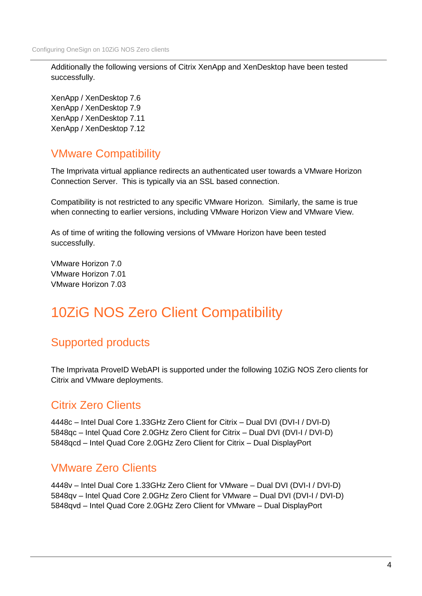Additionally the following versions of Citrix XenApp and XenDesktop have been tested successfully.

XenApp / XenDesktop 7.6 XenApp / XenDesktop 7.9 XenApp / XenDesktop 7.11 XenApp / XenDesktop 7.12

## VMware Compatibility

The Imprivata virtual appliance redirects an authenticated user towards a VMware Horizon Connection Server. This is typically via an SSL based connection.

Compatibility is not restricted to any specific VMware Horizon. Similarly, the same is true when connecting to earlier versions, including VMware Horizon View and VMware View.

As of time of writing the following versions of VMware Horizon have been tested successfully.

VMware Horizon 7.0 VMware Horizon 7.01 VMware Horizon 7.03

# 10ZiG NOS Zero Client Compatibility

## Supported products

The Imprivata ProveID WebAPI is supported under the following 10ZiG NOS Zero clients for Citrix and VMware deployments.

#### Citrix Zero Clients

4448c – Intel Dual Core 1.33GHz Zero Client for Citrix – Dual DVI (DVI-I / DVI-D) 5848qc – Intel Quad Core 2.0GHz Zero Client for Citrix – Dual DVI (DVI-I / DVI-D) 5848qcd – Intel Quad Core 2.0GHz Zero Client for Citrix – Dual DisplayPort

### <span id="page-3-0"></span>VMware Zero Clients

4448v – Intel Dual Core 1.33GHz Zero Client for VMware – Dual DVI (DVI-I / DVI-D) 5848qv – Intel Quad Core 2.0GHz Zero Client for VMware – Dual DVI (DVI-I / DVI-D) 5848qvd – Intel Quad Core 2.0GHz Zero Client for VMware – Dual DisplayPort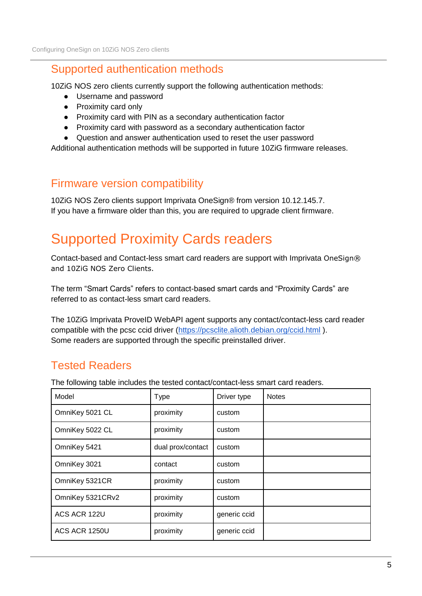#### Supported authentication methods

10ZiG NOS zero clients currently support the following authentication methods:

- Username and password
- Proximity card only
- Proximity card with PIN as a secondary authentication factor
- Proximity card with password as a secondary authentication factor
- Question and answer authentication used to reset the user password

Additional authentication methods will be supported in future 10ZiG firmware releases.

#### Firmware version compatibility

10ZiG NOS Zero clients support Imprivata OneSign® from version 10.12.145.7. If you have a firmware older than this, you are required to upgrade client firmware.

# Supported Proximity Cards readers

Contact-based and Contact-less smart card readers are support with Imprivata OneSign® and 10ZiG NOS Zero Clients.

The term "Smart Cards" refers to contact-based smart cards and "Proximity Cards" are referred to as contact-less smart card readers.

The 10ZiG Imprivata ProveID WebAPI agent supports any contact/contact-less card reader compatible with the pcsc ccid driver [\(https://pcsclite.alioth.debian.org/ccid.html](https://pcsclite.alioth.debian.org/ccid.html) ). Some readers are supported through the specific preinstalled driver.

## Tested Readers

The following table includes the tested contact/contact-less smart card readers.

| Model            | <b>Type</b>       | Driver type  | <b>Notes</b> |
|------------------|-------------------|--------------|--------------|
| OmniKey 5021 CL  | proximity         | custom       |              |
| OmniKey 5022 CL  | proximity         | custom       |              |
| OmniKey 5421     | dual prox/contact | custom       |              |
| OmniKey 3021     | contact           | custom       |              |
| OmniKey 5321CR   | proximity         | custom       |              |
| OmniKey 5321CRv2 | proximity         | custom       |              |
| ACS ACR 122U     | proximity         | generic ccid |              |
| ACS ACR 1250U    | proximity         | generic ccid |              |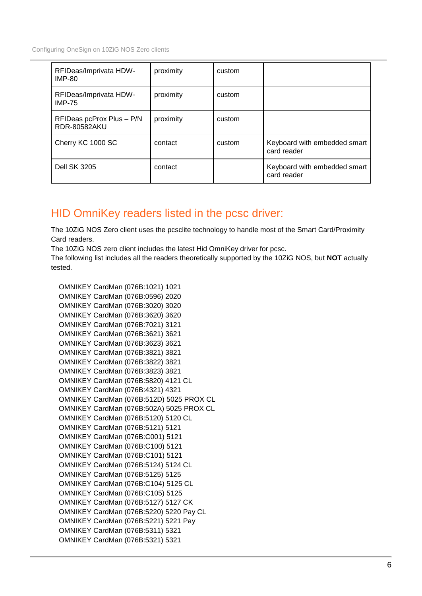Configuring OneSign on 10ZiG NOS Zero clients

| RFIDeas/Imprivata HDW-<br><b>IMP-80</b>          | proximity | custom |                                             |
|--------------------------------------------------|-----------|--------|---------------------------------------------|
| RFIDeas/Imprivata HDW-<br><b>IMP-75</b>          | proximity | custom |                                             |
| RFIDeas pcProx Plus - P/N<br><b>RDR-80582AKU</b> | proximity | custom |                                             |
| Cherry KC 1000 SC                                | contact   | custom | Keyboard with embedded smart<br>card reader |
| <b>Dell SK 3205</b>                              | contact   |        | Keyboard with embedded smart<br>card reader |

## HID OmniKey readers listed in the pcsc driver:

The 10ZiG NOS Zero client uses the pcsclite technology to handle most of the Smart Card/Proximity Card readers.

The 10ZiG NOS zero client includes the latest Hid OmniKey driver for pcsc.

The following list includes all the readers theoretically supported by the 10ZiG NOS, but **NOT** actually tested.

 OMNIKEY CardMan (076B:1021) 1021 OMNIKEY CardMan (076B:0596) 2020 OMNIKEY CardMan (076B:3020) 3020 OMNIKEY CardMan (076B:3620) 3620 OMNIKEY CardMan (076B:7021) 3121 OMNIKEY CardMan (076B:3621) 3621 OMNIKEY CardMan (076B:3623) 3621 OMNIKEY CardMan (076B:3821) 3821 OMNIKEY CardMan (076B:3822) 3821 OMNIKEY CardMan (076B:3823) 3821 OMNIKEY CardMan (076B:5820) 4121 CL OMNIKEY CardMan (076B:4321) 4321 OMNIKEY CardMan (076B:512D) 5025 PROX CL OMNIKEY CardMan (076B:502A) 5025 PROX CL OMNIKEY CardMan (076B:5120) 5120 CL OMNIKEY CardMan (076B:5121) 5121 OMNIKEY CardMan (076B:C001) 5121 OMNIKEY CardMan (076B:C100) 5121 OMNIKEY CardMan (076B:C101) 5121 OMNIKEY CardMan (076B:5124) 5124 CL OMNIKEY CardMan (076B:5125) 5125 OMNIKEY CardMan (076B:C104) 5125 CL OMNIKEY CardMan (076B:C105) 5125 OMNIKEY CardMan (076B:5127) 5127 CK OMNIKEY CardMan (076B:5220) 5220 Pay CL OMNIKEY CardMan (076B:5221) 5221 Pay OMNIKEY CardMan (076B:5311) 5321 OMNIKEY CardMan (076B:5321) 5321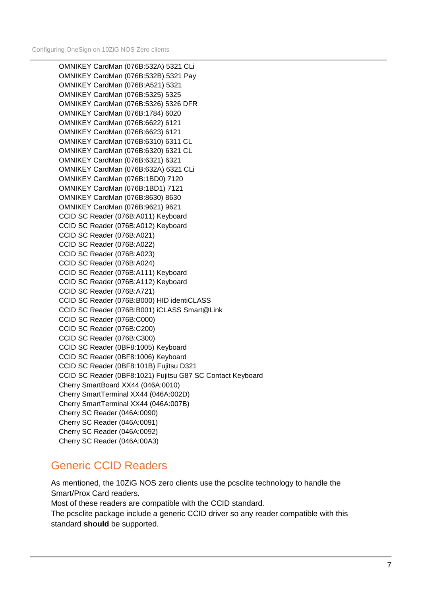OMNIKEY CardMan (076B:532A) 5321 CLi OMNIKEY CardMan (076B:532B) 5321 Pay OMNIKEY CardMan (076B:A521) 5321 OMNIKEY CardMan (076B:5325) 5325 OMNIKEY CardMan (076B:5326) 5326 DFR OMNIKEY CardMan (076B:1784) 6020 OMNIKEY CardMan (076B:6622) 6121 OMNIKEY CardMan (076B:6623) 6121 OMNIKEY CardMan (076B:6310) 6311 CL OMNIKEY CardMan (076B:6320) 6321 CL OMNIKEY CardMan (076B:6321) 6321 OMNIKEY CardMan (076B:632A) 6321 CLi OMNIKEY CardMan (076B:1BD0) 7120 OMNIKEY CardMan (076B:1BD1) 7121 OMNIKEY CardMan (076B:8630) 8630 OMNIKEY CardMan (076B:9621) 9621 CCID SC Reader (076B:A011) Keyboard CCID SC Reader (076B:A012) Keyboard CCID SC Reader (076B:A021) CCID SC Reader (076B:A022) CCID SC Reader (076B:A023) CCID SC Reader (076B:A024) CCID SC Reader (076B:A111) Keyboard CCID SC Reader (076B:A112) Keyboard CCID SC Reader (076B:A721) CCID SC Reader (076B:B000) HID identiCLASS CCID SC Reader (076B:B001) iCLASS Smart@Link CCID SC Reader (076B:C000) CCID SC Reader (076B:C200) CCID SC Reader (076B:C300) CCID SC Reader (0BF8:1005) Keyboard CCID SC Reader (0BF8:1006) Keyboard CCID SC Reader (0BF8:101B) Fujitsu D321 CCID SC Reader (0BF8:1021) Fujitsu G87 SC Contact Keyboard Cherry SmartBoard XX44 (046A:0010) Cherry SmartTerminal XX44 (046A:002D) Cherry SmartTerminal XX44 (046A:007B) Cherry SC Reader (046A:0090) Cherry SC Reader (046A:0091) Cherry SC Reader (046A:0092) Cherry SC Reader (046A:00A3)

#### Generic CCID Readers

As mentioned, the 10ZiG NOS zero clients use the pcsclite technology to handle the Smart/Prox Card readers.

Most of these readers are compatible with the CCID standard.

The pcsclite package include a generic CCID driver so any reader compatible with this standard **should** be supported.